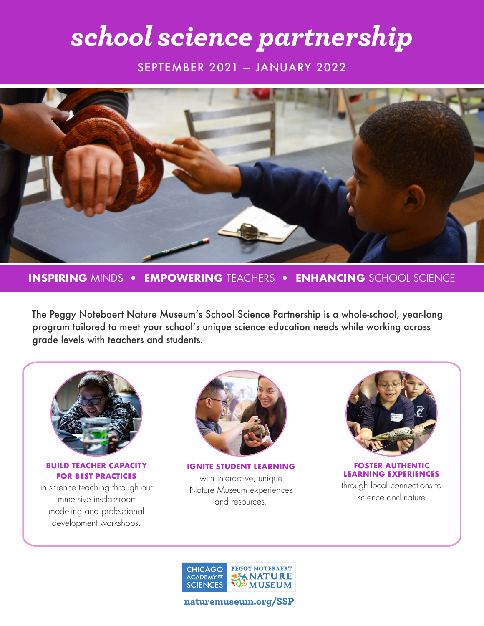# *school science partnership*

SEPTEMBER 2021 — JANUARY 2022



**INSPIRING** MINDS• **EMPOWERING** TEACHERS• **ENHANCING** SCHOOL SCIENCE

The Peggy Notebaert Nature Museum's School Science Partnership is a whole-school, year-long program tailored to meet your school's unique science education needs while working across grade levels with teachers and students.



**BUILD TEACHER CAPACITY FOR BEST PRACTICES**

in science teaching through our immersive in-classroom modeling and professional development workshops.



**IGNITE STUDENT LEARNING**  with interactive, unique Nature Museum experiences and resources.



**FOSTER AUTHENTIC LEARNING EXPERIENCES**  through local connections to science and nature.



naturemuseum.org/SSP